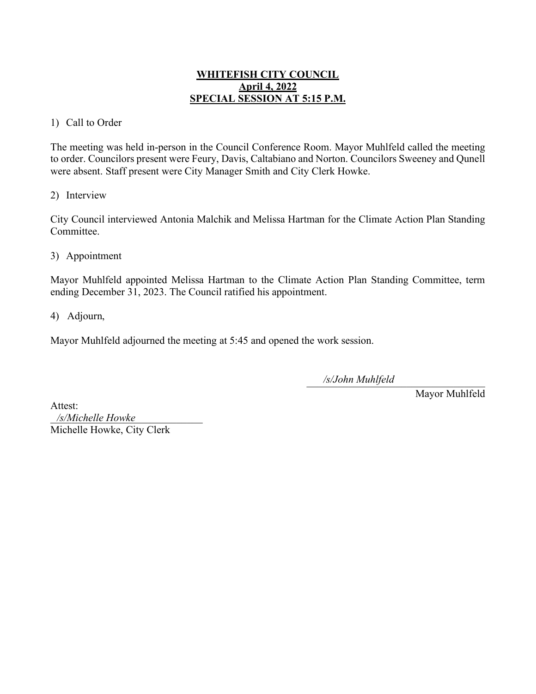# **WHITEFISH CITY COUNCIL April 4, 2022 SPECIAL SESSION AT 5:15 P.M.**

#### 1) Call to Order

The meeting was held in-person in the Council Conference Room. Mayor Muhlfeld called the meeting to order. Councilors present were Feury, Davis, Caltabiano and Norton. Councilors Sweeney and Qunell were absent. Staff present were City Manager Smith and City Clerk Howke.

#### 2) Interview

City Council interviewed Antonia Malchik and Melissa Hartman for the Climate Action Plan Standing Committee.

3) Appointment

Mayor Muhlfeld appointed Melissa Hartman to the Climate Action Plan Standing Committee, term ending December 31, 2023. The Council ratified his appointment.

4) Adjourn,

Mayor Muhlfeld adjourned the meeting at 5:45 and opened the work session.

\_\_\_\_\_\_\_\_\_\_\_\_\_\_\_\_\_\_\_\_\_\_\_\_\_\_\_\_\_\_\_\_\_\_ */s/John Muhlfeld*

Mayor Muhlfeld

Attest: \_\_\_\_\_\_\_\_\_\_\_\_\_\_\_\_\_\_\_\_\_\_\_\_\_\_\_\_\_ */s/Michelle Howke*Michelle Howke, City Clerk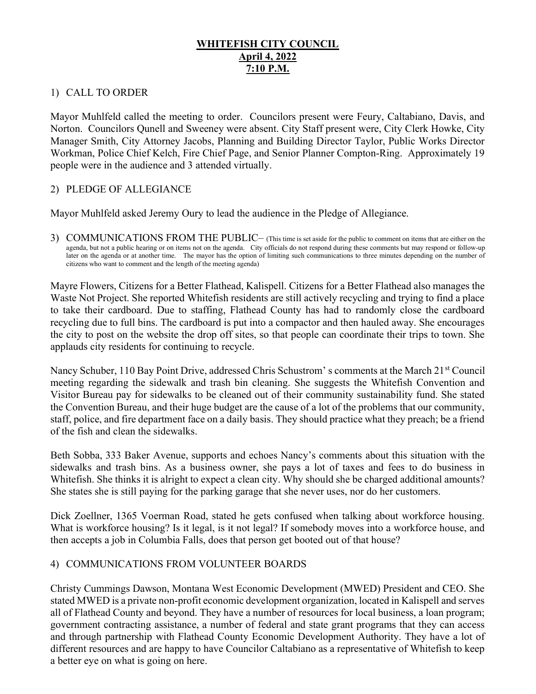# WHITEFISH CITY COUNCIL April 4, 2022 7:10 P.M.

#### 1) CALL TO ORDER

Mayor Muhlfeld called the meeting to order. Councilors present were Feury, Caltabiano, Davis, and Norton. Councilors Qunell and Sweeney were absent. City Staff present were, City Clerk Howke, City Manager Smith, City Attorney Jacobs, Planning and Building Director Taylor, Public Works Director Workman, Police Chief Kelch, Fire Chief Page, and Senior Planner Compton-Ring. Approximately 19 people were in the audience and 3 attended virtually.

# 2) PLEDGE OF ALLEGIANCE

Mayor Muhlfeld asked Jeremy Oury to lead the audience in the Pledge of Allegiance.

3) COMMUNICATIONS FROM THE PUBLIC– (This time is set aside for the public to comment on items that are either on the agenda, but not a public hearing or on items not on the agenda. City officials do not respond during these comments but may respond or follow-up later on the agenda or at another time. The mayor has the option of limiting such communications to three minutes depending on the number of citizens who want to comment and the length of the meeting agenda)

Mayre Flowers, Citizens for a Better Flathead, Kalispell. Citizens for a Better Flathead also manages the Waste Not Project. She reported Whitefish residents are still actively recycling and trying to find a place to take their cardboard. Due to staffing, Flathead County has had to randomly close the cardboard recycling due to full bins. The cardboard is put into a compactor and then hauled away. She encourages the city to post on the website the drop off sites, so that people can coordinate their trips to town. She applauds city residents for continuing to recycle.

Nancy Schuber, 110 Bay Point Drive, addressed Chris Schustrom's comments at the March 21<sup>st</sup> Council meeting regarding the sidewalk and trash bin cleaning. She suggests the Whitefish Convention and Visitor Bureau pay for sidewalks to be cleaned out of their community sustainability fund. She stated the Convention Bureau, and their huge budget are the cause of a lot of the problems that our community, staff, police, and fire department face on a daily basis. They should practice what they preach; be a friend of the fish and clean the sidewalks.

Beth Sobba, 333 Baker Avenue, supports and echoes Nancy's comments about this situation with the sidewalks and trash bins. As a business owner, she pays a lot of taxes and fees to do business in Whitefish. She thinks it is alright to expect a clean city. Why should she be charged additional amounts? She states she is still paying for the parking garage that she never uses, nor do her customers.

Dick Zoellner, 1365 Voerman Road, stated he gets confused when talking about workforce housing. What is workforce housing? Is it legal, is it not legal? If somebody moves into a workforce house, and then accepts a job in Columbia Falls, does that person get booted out of that house?

# 4) COMMUNICATIONS FROM VOLUNTEER BOARDS

Christy Cummings Dawson, Montana West Economic Development (MWED) President and CEO. She stated MWED is a private non-profit economic development organization, located in Kalispell and serves all of Flathead County and beyond. They have a number of resources for local business, a loan program; government contracting assistance, a number of federal and state grant programs that they can access and through partnership with Flathead County Economic Development Authority. They have a lot of different resources and are happy to have Councilor Caltabiano as a representative of Whitefish to keep a better eye on what is going on here.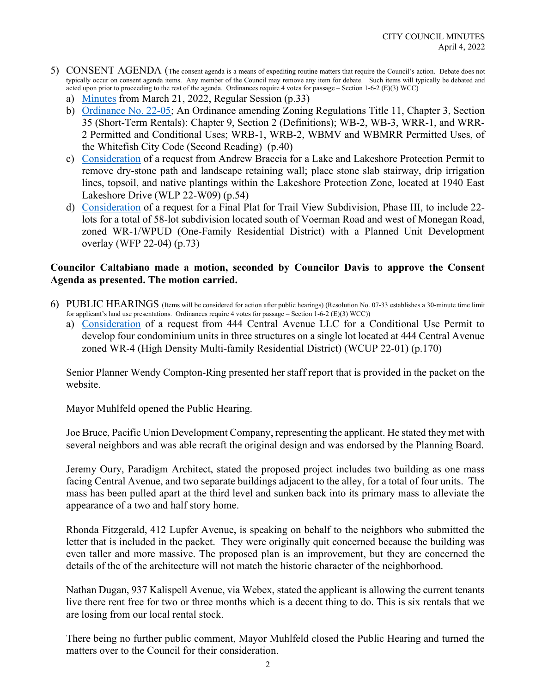- 5) CONSENT AGENDA (The consent agenda is a means of expediting routine matters that require the Council's action. Debate does not typically occur on consent agenda items. Any member of the Council may remove any item for debate. Such items will typically be debated and acted upon prior to proceeding to the rest of the agenda. Ordinances require 4 votes for passage – Section 1-6-2 (E)(3) WCC)
	- a) Minutes from March 21, 2022, Regular Session (p.33)
	- b) Ordinance No. 22-05; An Ordinance amending Zoning Regulations Title 11, Chapter 3, Section 35 (Short-Term Rentals): Chapter 9, Section 2 (Definitions); WB-2, WB-3, WRR-1, and WRR-2 Permitted and Conditional Uses; WRB-1, WRB-2, WBMV and WBMRR Permitted Uses, of the Whitefish City Code (Second Reading) (p.40)
	- c) Consideration of a request from Andrew Braccia for a Lake and Lakeshore Protection Permit to remove dry-stone path and landscape retaining wall; place stone slab stairway, drip irrigation lines, topsoil, and native plantings within the Lakeshore Protection Zone, located at 1940 East Lakeshore Drive (WLP 22-W09) (p.54)
	- d) Consideration of a request for a Final Plat for Trail View Subdivision, Phase III, to include 22 lots for a total of 58-lot subdivision located south of Voerman Road and west of Monegan Road, zoned WR-1/WPUD (One-Family Residential District) with a Planned Unit Development overlay (WFP 22-04) (p.73)

# Councilor Caltabiano made a motion, seconded by Councilor Davis to approve the Consent Agenda as presented. The motion carried.

- 6) PUBLIC HEARINGS (Items will be considered for action after public hearings) (Resolution No. 07-33 establishes a 30-minute time limit for applicant's land use presentations. Ordinances require 4 votes for passage – Section 1-6-2 (E)(3) WCC))
	- a) Consideration of a request from 444 Central Avenue LLC for a Conditional Use Permit to develop four condominium units in three structures on a single lot located at 444 Central Avenue zoned WR-4 (High Density Multi-family Residential District) (WCUP 22-01) (p.170)

Senior Planner Wendy Compton-Ring presented her staff report that is provided in the packet on the website.

Mayor Muhlfeld opened the Public Hearing.

Joe Bruce, Pacific Union Development Company, representing the applicant. He stated they met with several neighbors and was able recraft the original design and was endorsed by the Planning Board.

Jeremy Oury, Paradigm Architect, stated the proposed project includes two building as one mass facing Central Avenue, and two separate buildings adjacent to the alley, for a total of four units. The mass has been pulled apart at the third level and sunken back into its primary mass to alleviate the appearance of a two and half story home.

Rhonda Fitzgerald, 412 Lupfer Avenue, is speaking on behalf to the neighbors who submitted the letter that is included in the packet. They were originally quit concerned because the building was even taller and more massive. The proposed plan is an improvement, but they are concerned the details of the of the architecture will not match the historic character of the neighborhood.

Nathan Dugan, 937 Kalispell Avenue, via Webex, stated the applicant is allowing the current tenants live there rent free for two or three months which is a decent thing to do. This is six rentals that we are losing from our local rental stock.

There being no further public comment, Mayor Muhlfeld closed the Public Hearing and turned the matters over to the Council for their consideration.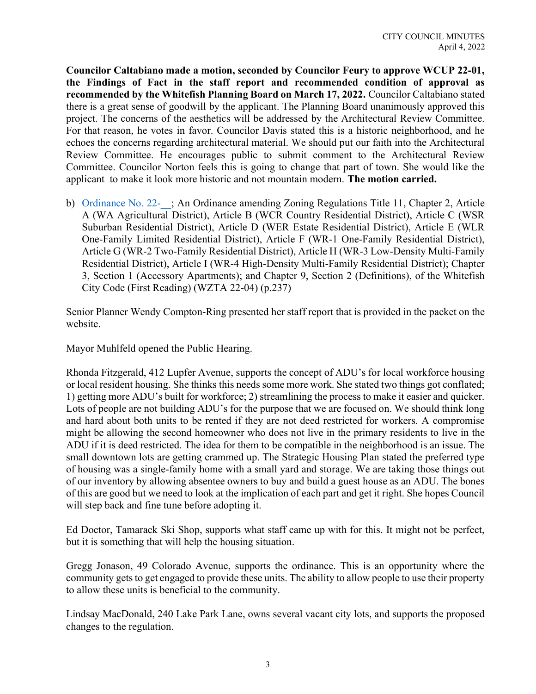Councilor Caltabiano made a motion, seconded by Councilor Feury to approve WCUP 22-01, the Findings of Fact in the staff report and recommended condition of approval as recommended by the Whitefish Planning Board on March 17, 2022. Councilor Caltabiano stated there is a great sense of goodwill by the applicant. The Planning Board unanimously approved this project. The concerns of the aesthetics will be addressed by the Architectural Review Committee. For that reason, he votes in favor. Councilor Davis stated this is a historic neighborhood, and he echoes the concerns regarding architectural material. We should put our faith into the Architectural Review Committee. He encourages public to submit comment to the Architectural Review Committee. Councilor Norton feels this is going to change that part of town. She would like the applicant to make it look more historic and not mountain modern. The motion carried.

b) Ordinance No. 22-\_\_; An Ordinance amending Zoning Regulations Title 11, Chapter 2, Article A (WA Agricultural District), Article B (WCR Country Residential District), Article C (WSR Suburban Residential District), Article D (WER Estate Residential District), Article E (WLR One-Family Limited Residential District), Article F (WR-1 One-Family Residential District), Article G (WR-2 Two-Family Residential District), Article H (WR-3 Low-Density Multi-Family Residential District), Article I (WR-4 High-Density Multi-Family Residential District); Chapter 3, Section 1 (Accessory Apartments); and Chapter 9, Section 2 (Definitions), of the Whitefish City Code (First Reading) (WZTA 22-04) (p.237)

Senior Planner Wendy Compton-Ring presented her staff report that is provided in the packet on the website.

Mayor Muhlfeld opened the Public Hearing.

Rhonda Fitzgerald, 412 Lupfer Avenue, supports the concept of ADU's for local workforce housing or local resident housing. She thinks this needs some more work. She stated two things got conflated; 1) getting more ADU's built for workforce; 2) streamlining the process to make it easier and quicker. Lots of people are not building ADU's for the purpose that we are focused on. We should think long and hard about both units to be rented if they are not deed restricted for workers. A compromise might be allowing the second homeowner who does not live in the primary residents to live in the ADU if it is deed restricted. The idea for them to be compatible in the neighborhood is an issue. The small downtown lots are getting crammed up. The Strategic Housing Plan stated the preferred type of housing was a single-family home with a small yard and storage. We are taking those things out of our inventory by allowing absentee owners to buy and build a guest house as an ADU. The bones of this are good but we need to look at the implication of each part and get it right. She hopes Council will step back and fine tune before adopting it.

Ed Doctor, Tamarack Ski Shop, supports what staff came up with for this. It might not be perfect, but it is something that will help the housing situation.

Gregg Jonason, 49 Colorado Avenue, supports the ordinance. This is an opportunity where the community gets to get engaged to provide these units. The ability to allow people to use their property to allow these units is beneficial to the community.

Lindsay MacDonald, 240 Lake Park Lane, owns several vacant city lots, and supports the proposed changes to the regulation.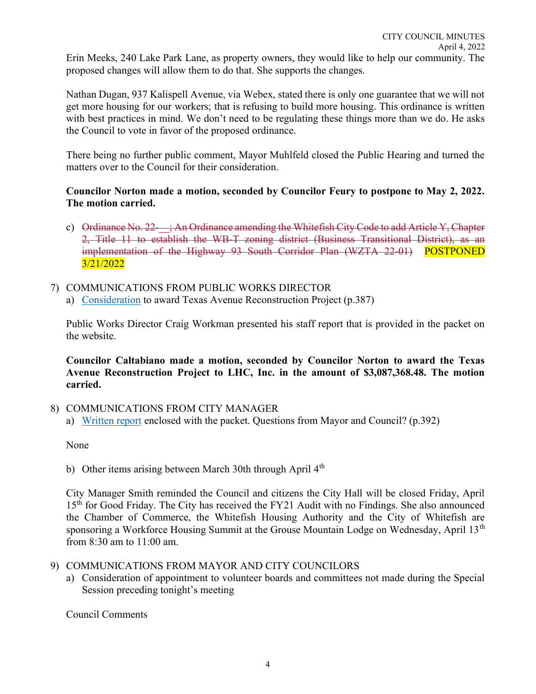Erin Meeks, 240 Lake Park Lane, as property owners, they would like to help our community. The proposed changes will allow them to do that. She supports the changes.

Nathan Dugan, 937 Kalispell Avenue, via Webex, stated there is only one guarantee that we will not get more housing for our workers; that is refusing to build more housing. This ordinance is written with best practices in mind. We don't need to be regulating these things more than we do. He asks the Council to vote in favor of the proposed ordinance.

There being no further public comment, Mayor Muhlfeld closed the Public Hearing and turned the matters over to the Council for their consideration.

#### Councilor Norton made a motion, seconded by Councilor Feury to postpone to May 2, 2022. The motion carried.

- c) Ordinance No.  $22-$ ; An Ordinance amending the Whitefish City Code to add Article Y, Chapter 2, Title 11 to establish the WB-T zoning district (Business Transitional District), as an implementation of the Highway 93 South Corridor Plan (WZTA 22-01) POSTPONED 3/21/2022
- 7) COMMUNICATIONS FROM PUBLIC WORKS DIRECTOR a) Consideration to award Texas Avenue Reconstruction Project (p.387)

Public Works Director Craig Workman presented his staff report that is provided in the packet on the website.

Councilor Caltabiano made a motion, seconded by Councilor Norton to award the Texas Avenue Reconstruction Project to LHC, Inc. in the amount of \$3,087,368.48. The motion carried.

# 8) COMMUNICATIONS FROM CITY MANAGER

a) Written report enclosed with the packet. Questions from Mayor and Council? (p.392)

None

City Manager Smith reminded the Council and citizens the City Hall will be closed Friday, April 15<sup>th</sup> for Good Friday. The City has received the FY21 Audit with no Findings. She also announced the Chamber of Commerce, the Whitefish Housing Authority and the City of Whitefish are sponsoring a Workforce Housing Summit at the Grouse Mountain Lodge on Wednesday, April 13<sup>th</sup> from 8:30 am to 11:00 am.

# 9) COMMUNICATIONS FROM MAYOR AND CITY COUNCILORS

a) Consideration of appointment to volunteer boards and committees not made during the Special Session preceding tonight's meeting

Council Comments

b) Other items arising between March 30th through April  $4<sup>th</sup>$